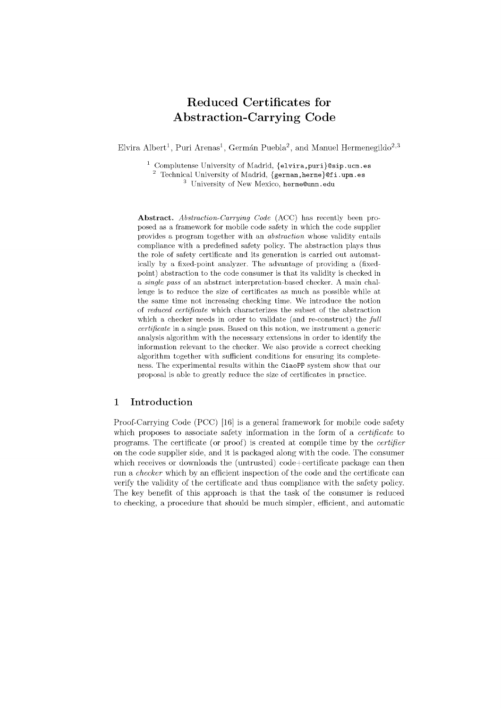# Reduced Certificates for Abstraction-Carrying Code

Elvira Albert<sup>1</sup>, Puri Arenas<sup>1</sup>, Germán Puebla<sup>2</sup>, and Manuel Hermenegildo<sup>2,3</sup>

 $^1$  Complutense University of Madrid,  $\{$ elvira,puri $\}$ @sip.[ucm.es](http://ucm.es)  $^2$  Technical University of Madrid,  $\{ {\tt german, herme} \}$ @fi.[upm.es](http://upm.es) <sup>3</sup> University of New Mexico, herme@unm.edu

Abstract. *Abstraction-Carrying Code* (ACC) has recently been proposed as a framework for mobile code safety in which the code supplier provides a program together with an *abstraction* whose validity entails compliance with a predefined safety policy. The abstraction plays thus the role of safety certifícate and its generation is carried out automatically by a fixed-point analyzer. The advantage of providing a (fixedpoint) abstraction to the code consumer is that its validity is checked in a *single pass* of an abstract interpretation-based checker. A main challenge is to reduce the size of certificates as much as possible while at the same time not increasing checking time. We introduce the notion of *reduced certifícate* which characterizes the subset of the abstraction which a checker needs in order to validate (and re-construct) the *full certifícate* in a single pass. Based on this notion, we instrument a generic analysis algorithm with the necessary extensions in order to identify the information relevant to the checker. We also provide a correct checking algorithm together with sufficient conditions for ensuring its completeness. The experimental results within the CiaoPP system show that our proposal is able to greatly reduce the size of certificates in practice.

# 1 Introduction

Proof-Carrying Code (PCC) [16] is a general framework for mobile code safety which proposes to associate safety information in the form of a *certifícate* to programs. The certiñcate (or proof) is created at compile time by the *certifier*  on the code supplier side, and it is packaged along with the code. The consumer which receives or downloads the (untrusted) code+certificate package can then run a *checker* which by an efficient inspection of the code and the certiñcate can verify the validity of the certiñcate and thus compliance with the safety policy. The key benefit of this approach is that the task of the consumer is reduced to checking, a procedure that should be much simpler, efficient, and automatic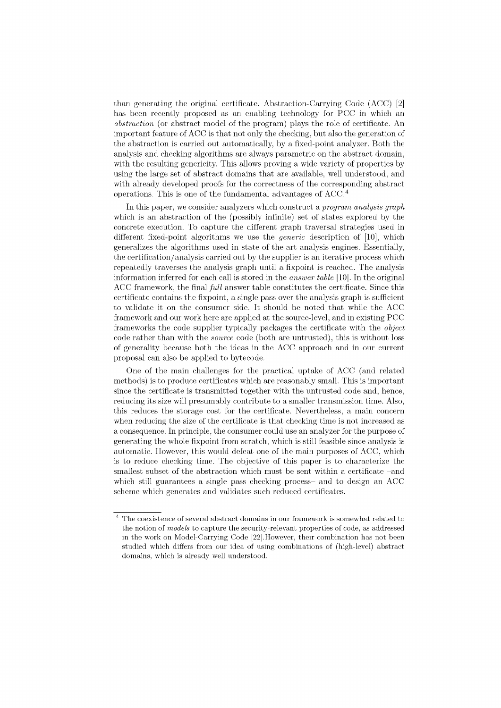than generating the original certiñcate. Abstraction-Carrying Code (ACC) [2] has been recently proposed as an enabling technology for PCC in which an *abstraction* (or abstract model of the program) plays the role of certiñcate. An important feature of ACC is that not only the checking, but also the generation of the abstraction is carried out automatically, by a ñxed-point analyzer. Both the analysis and checking algorithms are always parametric on the abstract domain, with the resulting genericity. This allows proving a wide variety of properties by using the large set of abstract domains that are available, well understood, and with already developed proofs for the correctness of the corresponding abstract operations. This is one of the fundamental advantages of ACC.<sup>4</sup>

In this paper, we consider analyzers which construct a *program analysis graph*  which is an abstraction of the (possibly infinite) set of states explored by the concrete execution. To capture the different graph traversal strategies used in different fixed-point algorithms we use the *generic* description of [10], which generalizes the algorithms used in state-of-the-art analysis engines. Essentially, the certification/analysis carried out by the supplier is an iterative process which repeatedly traverses the analysis graph until a fixpoint is reached. The analysis information inferred for each cali is stored in the *answer table* [10]. In the original ACC framework, the final *full* answer table constitutes the certifícate. Since this certiñcate contains the fixpoint, a single pass over the analysis graph is sufficient to validate it on the consumer side. It should be noted that while the ACC framework and our work here are applied at the source-level, and in existing PCC frameworks the code supplier typically packages the certifícate with the *ohject*  code rather than with the *source* code (both are untrusted), this is without loss of generality because both the ideas in the ACC approach and in our current proposal can also be applied to bytecode.

One of the main challenges for the practical uptake of ACC (and related methods) is to produce certiñcates which are reasonably small. This is important since the certiñcate is transmitted together with the untrusted code and, henee, reducing its size will presumably contribute to a smaller transmission time. Also, this reduces the storage cost for the certifícate. Nevertheless, a main concern when reducing the size of the certiñcate is that checking time is not increased as a consequence. In principie, the consumer could use an analyzer for the purpose of generating the whole ñxpoint from scratch, which is still feasible since analysis is automatic. However, this would defeat one of the main purposes of ACC, which is to reduce checking time. The objective of this paper is to characterize the smallest subset of the abstraction which must be sent within a certificate  $-$ and which still guarantees a single pass checking process- and to design an ACC scheme which generates and validates such reduced certiñcates.

 $^4\,$  The coexistence of several abstract domains in our framework is somewhat related to the notion of *models* to capture the security-relevant properties of code, as addressed in the work on Model-Carrying Code [22].However, their combination has not been studied which differs from our idea of using combinations of (high-level) abstract domains, which is already well understood.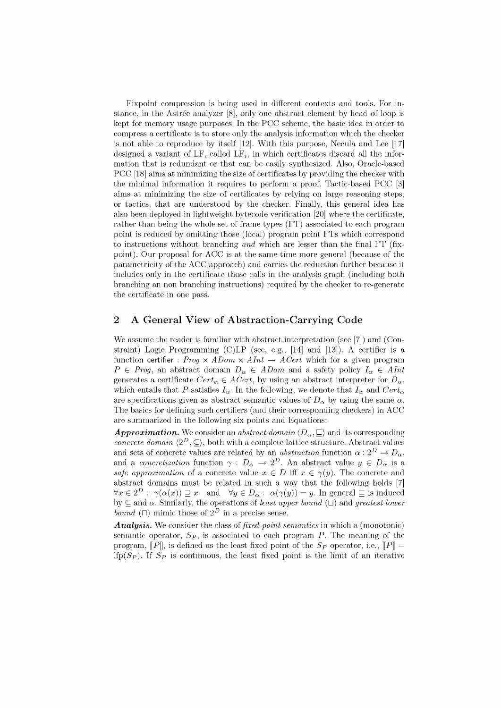Fixpoint compression is being used in different contexts and tools. For instance, in the Astrée analyzer [8], only one abstract element by head of loop is kept for memory usage purposes. In the PCC scheme, the basic idea in order to compress a certiñcate is to store only the analysis information which the checker is not able to reproduce by itself [12]. With this purpose, Necula and Lee [17] designed a variant of LF, called  $LF_i$ , in which certificates discard all the information that is redundant or that can be easily synthesized. Also, Oracle-based PCC [18] aims at minimizing the size of certiñcates by providing the checker with the minimal information it requires to perform a proof. Tactic-based PCC [3] aims at minimizing the size of certiñcates by relying on large reasoning steps, or tactics, that are understood by the checker. Finally, this general idea has also been deployed in lightweight bytecode veriñcation [20] where the certiñcate, rather than being the whole set of frame types (FT) associated to each program point is reduced by omitting those (local) program point FTs which correspond to instructions without branching *and* which are lesser than the ñnal FT (fixpoint). Our proposal for ACC is at the same time more general (because of the parametricity of the ACC approach) and carries the reduction further because it includes only in the certifícate those calis in the analysis graph (including both branching an non branching instructions) required by the checker to re-generate the certiñcate in one pass.

# 2 A General View of Abstraction-Carrying Code

We assume the reader is familiar with abstract interpretation (see [7]) and (Constraint) Logic Programming  $(C)LP$  (see, e.g., [14] and [13]). A certifier is a function certifier :  $Prog \times ADom \times Aht \mapsto ACert$  which for a given program  $P \in Prog$ , an abstract domain  $D_{\alpha} \in ADom$  and a safety policy  $I_{\alpha} \in Aht$ generates a certificate  $Cert_{\alpha} \in ACert$ , by using an abstract interpreter for  $D_{\alpha}$ , which entails that P satisfies  $I_\alpha$ . In the following, we denote that  $I_\alpha$  and  $Cert_\alpha$ are specifications given as abstract semantic values of  $D_{\alpha}$  by using the same  $\alpha$ . The basics for deñning such certiñers (and their corresponding checkers) in ACC are summarized in the following six points and Equations:

*Approximation.* We consider an *abstract domain*  $\langle D_{\alpha}, \sqsubseteq \rangle$  and its corresponding *concrete domain*  $\langle 2^D, \subseteq \rangle$ , both with a complete lattice structure. Abstract values and sets of concrete values are related by an *abstraction* function  $\alpha: 2^D \to D_\alpha$ , and a *concretization* function  $\gamma : D_{\alpha} \to 2^{D}$ . An abstract value  $y \in D_{\alpha}$  is a *safe approximation* of a concrete value  $x \in D$  iff  $x \in \gamma(y)$ . The concrete and abstract domains must be related in such a way that the following holds [7]  $\forall x \in 2^D : \gamma(\alpha(x)) \supseteq x$  and  $\forall y \in D_\alpha : \alpha(\gamma(y)) = y$ . In general  $\subseteq$  is induced by  $\subset$  and  $\alpha$ . Similarly, the operations of *least upper bound* ( $\Box$ ) and *greatest lower*  $\overline{bound}$  ( $\Box$ ) mimic those of  $2^D$  in a precise sense.

*Analysis.* We consider the class of *fixed-point semantics* in which a (monotonic) semantic operator, *Sp,* is associated to each program *P.* The meaning of the program,  $||P||$ , is defined as the least fixed point of the  $S_P$  operator, i.e.,  $||P|| =$ lfp( $Sp$ ). If  $S_P$  is continuous, the least fixed point is the limit of an iterative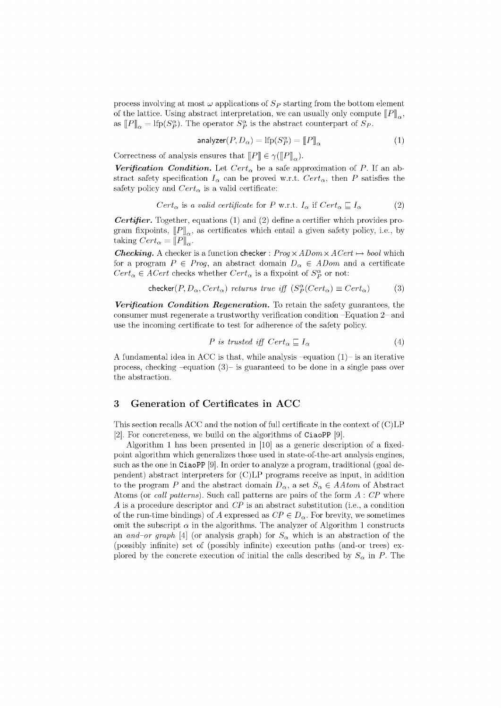process involving at most  $\omega$  applications of  $S_p$  starting from the bottom element of the lattice. Using abstract interpretation, we can usually only compute  $||P||_{\alpha}$ , as  $[$ P $]_{\alpha}$  = lfp( $S_P^{\alpha}$ ). The operator  $S_P^{\alpha}$  is the abstract counterpart of  $S_P$ .

$$
\mathsf{analyzer}(P, D_\alpha) = \mathsf{lfp}(S_P^\alpha) = \llbracket P \rrbracket_\alpha \tag{1}
$$

Correctness of analysis ensures that  $[|P|] \in \gamma([|P|]_{\alpha}).$ 

*Verification Condition.* Let  $Cert_{\alpha}$  be a safe approximation of P. If an abstract safety specification  $I_\alpha$  can be proved w.r.t.  $Cert_\alpha$ , then P satisfies the safety policy and  $Cert_{\alpha}$  is a valid certificate:

$$
Cert_{\alpha} \text{ is a valid certificate for } P \text{ w.r.t. } I_{\alpha} \text{ if } Cert_{\alpha} \sqsubseteq I_{\alpha}
$$
 (2)

*Certifier.* Together, equations (1) and (2) deñne a certiñer which provides program fixpoints,  $[P]_{\alpha}$ , as certificates which entail a given safety policy, i.e., by taking  $Cert_{\alpha} = [P]]_{\alpha}$ .

*Checking.* A checker is a function checker:  $Prog \times ADom \times ACert \mapsto bool$  which for a program  $P \in Prog$ , an abstract domain  $D_{\alpha} \in ADom$  and a certificate  $Cert_{\alpha} \in ACert$  checks whether  $Cert_{\alpha}$  is a fixpoint of  $S_p^{\alpha}$  or not:

$$
\mathsf{checker}(P, D_{\alpha}, Cert_{\alpha}) \text{ returns } true \text{ iff } (S_P^{\alpha}(Cert_{\alpha}) \equiv Cert_{\alpha}) \tag{3}
$$

*Verification Condition Regeneration.* To retain the safety guarantees, the consumer must regenerate a trustworthy verification condition -Equation 2- and use the incoming certifícate to test for adherence of the safety policy.

$$
P \text{ is trusted iff } Cert_{\alpha} \sqsubseteq I_{\alpha} \tag{4}
$$

A fundamental idea in ACC is that, while analysis  $-equation (1)$  is an iterative process, checking  $-equation$  (3)– is guaranteed to be done in a single pass over the abstraction.

# 3 Generation of Certiñcates in ACC

This section recalls ACC and the notion of full certiñcate in the context of (C)LP [2]. For concreteness, we build on the algorithms of **CiaoPP** [9].

Algorithm 1 has been presented in [10] as a generic description of a fixedpoint algorithm which generalizes those used in state-of-the-art analysis engines, such as the one in **CiaoPP** [9]. **In** order to analyze a program, traditional (goal dependent) abstract interpreters for (C)LP programs receive as input, in addition to the program P and the abstract domain  $D_{\alpha}$ , a set  $S_{\alpha} \in AAtom$  of Abstract Atoms (or *cali patterns).* Such cali patterns are pairs of the form *A : CP* where *A* is a procedure descriptor and *CP* is an abstract substitution (i.e., a condition of the run-time bindings) of A expressed as  $CP \in D_{\alpha}$ . For brevity, we sometimes omit the subscript  $\alpha$  in the algorithms. The analyzer of Algorithm 1 constructs an *and-or graph* [4] (or analysis graph) for  $S_\alpha$  which is an abstraction of the (possibly infinite) set of (possibly infinite) execution paths (and-or trees) explored by the concrete execution of initial the calls described by  $S_\alpha$  in P. The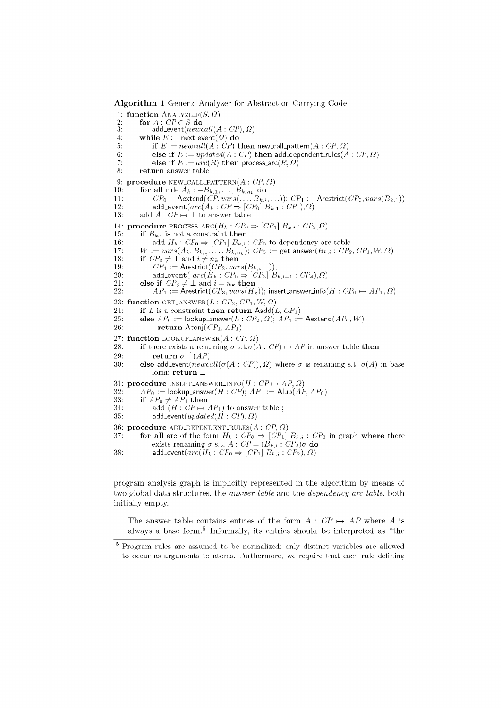**Algorithm 1** Generic Analyzer for Abstraction-Carrying Code 1: **function** ANALYZE\_F( $S, \Omega$ )  $2:$ 3 4 5 6 7 8 9:  $\mathbf{procedure} \ \text{NEW\_CALL\_PATHERN}(A: CP, Q)$ 10: 11: 12: 13: 14: **procedure** PROCESS\_ARC $(H_k : CP_0 \Rightarrow [CP_1] B_{k,i} : CP_2,\Omega)$ 15: 16: 17: 18: 19:  $20 \cdot$ 21: 22: 23: **function** GET\_ANSWER $(L : CP_2, CP_1, W, \Omega)$ 24: 25: 26: 27: **function** LOOKUP\_ANSWER $(A : CP, Q)$ **28: 29: 30:**  for  $A:CP \in S$  do  $add\_event(newcall(A: CP), 12)$ **while**  $E := \text{next\_event}(\Omega)$  do **if**  $E := newcall(A : CP)$  **then new\_call\_pattern** $(A : CP, Q)$ **else if**  $E := updated(A : CP)$  **then** add\_dependent\_rules( $A : CP, Q$ ) else if  $E := arc(R)$  then process\_arc( $R, \Omega$ ) **return** answer table **for all** rule  $A_k$  :  $-B_{k,1}, \ldots, B_{k,n_k}$  do  $CP_0 :=$ Aextend $(CP, vars(\dots, B_{k,i}, \ldots)); \; CP_1 := \mathsf{A}$ restrict $(CP_0, vars(B_{k,1}))$  .  $\operatorname{\mathsf{add\_event}}\nolimits(arc(A_k : CP \Rightarrow [CP_0]\ B_{k,1} : CP_1), Q)$ add  $A: CP \mapsto \perp$  to answer table **if**  $B_{k,i}$  is not a constraint **then** add  $H_k : CP_0 \Rightarrow [CP_1] B_{k,i} : CP_2$  to dependency arc table  $W := vars(A_k, B_{k,1}, \ldots, B_{k,n_k}); \; CP_3 := get\_answer(B_{k,i} : CP_2, CP_1, W, \Omega)$ if  $CP_3 \neq \perp$  and  $i \neq n_k$  **then**  $CP_4 :=$  Arestrict $(CP_3, vars(B_{k,i+1}))$ ; add\_event( $\mathit{arc}(H_k : CP_0 \Rightarrow [CP_3] B_{k,i+1} : CP_4), Q)$ else if  $CP_3 \neq \perp$  and  $i = n_k$  **then**  $AP_1 := \overline{A}$ restrict( $CP_3$ ,  $vars(H_k)$ ); insert\_answer\_info( $H : CP_0 \mapsto AP_1$ ,  $\Omega$ ) **if** *L* is a constraint **then return** Aadd(*L*,  $CP_1$ ) **else**  $AP_0 := \text{lookup\_answer}(L : CP_2, \Omega); AP_1 := \text{Aextend}(AP_0, W)$ **return** Aconj $(CP_1, AP_1)$ **if** there exists a renaming  $\sigma$  s.t. $\sigma(A : CP) \mapsto AP$  in answer table **then**  $\mathbf{return} \; \sigma^{-1}(AP)$ else add\_event( $\text{newcall}(\sigma(A : CP)), \Omega$ ) where  $\sigma$  is renaming s.t.  $\sigma(A)$  in base form; **return** \_L 31: **procedure** INSERT\_ANSWER\_INFO $(H : CP \mapsto AP, Q)$ <br>32:  $AP_0 := \text{lookup\_answer}(H : CP); AP_1 := \text{Alub}(AP)$ 32:  $AP_0 := \text{lookup\_answer}(H : CP); AP_1 := \text{Alub}(AP, AP_0)$ <br>33: if  $AP_0 \neq AP_1$  then 33: **if**  $AP_0 \neq AP_1$  **then** add  $(H : CP \mapsto P_1)$ add<sup> $($ </sup> $(H : \overline{CP} \mapsto AP_1)$  to answer table ; 35: add*-event(updated(H : CP), Q)*  36: procedure ADD\_DEPENDENT\_RULES $(A: CP, Q)$ 37: **for all** arc of the form  $H_k$  :  $CP_0 \Rightarrow [CP_1] B_{k,i}$  :  $CP_2$  in graph where there exists renaming  $\sigma$  s.t.  $A: CP = (B_{k,i}: CP_2)\sigma$  do 38: add\_event( $arc(H_k : CP_0 \Rightarrow [CP_1] B_{k,i} : CP_2), \Omega$ )

program analysis graph is implicitly represented in the algorithm by means of two global data structures, the *answer table* and the *dependency are table,* both initially empty.

– The answer table contains entries of the form  $A : CP \mapsto AP$  where A is always a base form.<sup>5</sup> Informally, its entries should be interpreted as "the

<sup>&</sup>lt;sup>5</sup> Program rules are assumed to be normalized: only distinct variables are allowed to occur as arguments to atoms. Furthermore, we require that each rule defining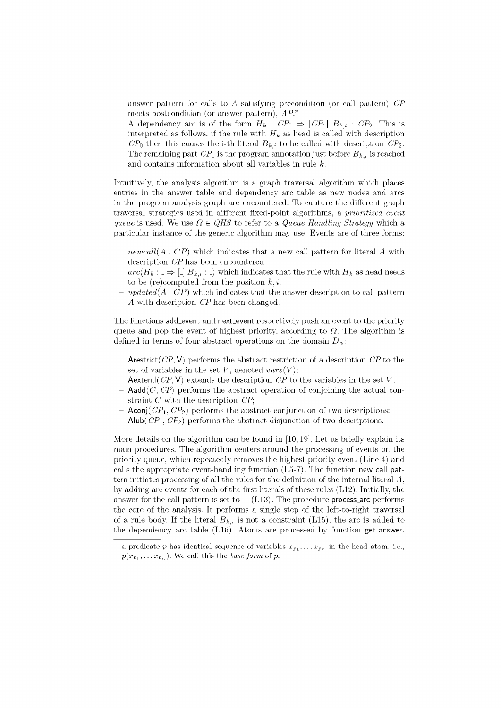answer pattern for calis to *A* satisfying precondition (or cali pattern) *CP*  meets postcondition (or answer pattern), *AP."* 

*–* A dependency arc is of the form  $H_k$  :  $CP_0 \Rightarrow [CP_1] B_{k,i}$  :  $CP_2$ . This is interpreted as follows: if the rule with  $H_k$  as head is called with description  $CP_0$  then this causes the i-th literal  $B_{k,i}$  to be called with description  $CP_2$ . The remaining part  $CP_1$  is the program annotation just before  $B_{k,i}$  is reached and contains information about all variables in rule *k.* 

Intuitively, the analysis algorithm is a graph traversal algorithm which places entries in the answer table and dependency are table as new nodes and ares in the program analysis graph are encountered. To capture the different graph traversal strategies used in different ñxed-point algorithms, a *prioritized event queue* is used. We use  $\Omega \in QHS$  to refer to a *Queue Handling Strategy* which a particular instance of the generic algorithm may use. Events are of three forms:

- — *newcall(A : CP)* which indicates that a new cali pattern for literal *A* with description *CP* has been encountered.
- $arc(H_k: \Rightarrow [\frac{1}{2} B_{k,i} : \frac{1}{2})$  which indicates that the rule with  $H_k$  as head needs to be (re)computed from the position *k,i.*
- $updated(A:CP)$  which indicates that the answer description to call pattern *A* with description *CP* has been changed.

The functions add\_event and next\_event respectively push an event to the priority queue and pop the event of highest priority, according to  $\Omega$ . The algorithm is defined in terms of four abstract operations on the domain  $D_{\alpha}$ :

- Arestrict( $\mathcal{CP}, \mathsf{V}$ ) performs the abstract restriction of a description  $\mathcal{CP}$  to the set of variables in the set V, denoted  $vars(V)$ ;
- $-$  Aextend (CP, V) extends the description CP to the variables in the set V;
- *—* Aadd(C, *CP)* performs the abstract operation of conjoining the actual constraint *C* with the description CP;
- Aconj( $CP_1$ ,  $CP_2$ ) performs the abstract conjunction of two descriptions;
- Alub( $CP_1$ ,  $CP_2$ ) performs the abstract disjunction of two descriptions.

More details on the algorithm can be found in [10,19]. Let us briefly explain its main procedures. The algorithm centers around the processing of events on the priority queue, which repeatedly removes the highest priority event (Line 4) and calls the appropriate event-handling function  $(L5-7)$ . The function new\_call\_pattern initiates processing of all the rules for the deñnition of the internal literal *A,*  by adding are events for each of the ñrst literals of these rules (L12). Initially, the answer for the call pattern is set to  $\perp$  (L13). The procedure process arc performs the core of the analysis. It performs a single step of the left-to-right traversal of a rule body. If the literal  $B_{k,i}$  is not a constraint (L15), the arc is added to the dependency are table (L16). Atoms are processed by function get\_answer.

a predicate *p* has identical sequence of variables  $x_{p_1}, \ldots x_{p_n}$  in the head atom, i.e.,  $p(x_{p_1}, \ldots x_{p_n})$ . We call this the *base form* of p.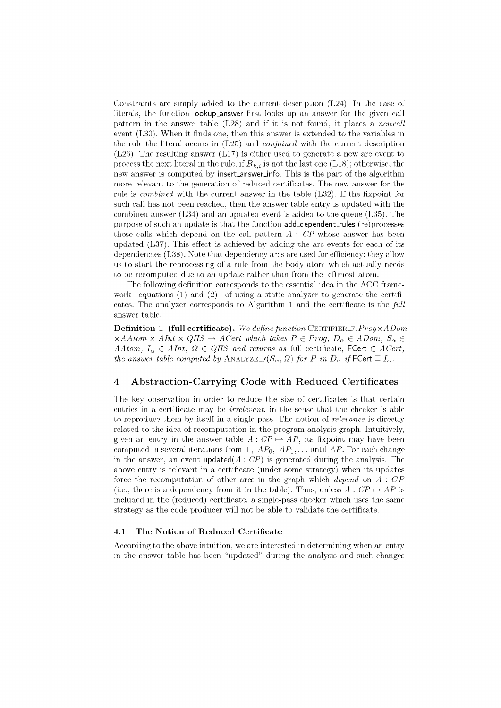Constraints are simply added to the current description (L24). In the case of literals, the function **lookup\_answer** ñrst looks up an answer for the given cali pattern in the answer table (L28) and if it is not found, it places a *newcall*  event (L30). When it ñnds one, then this answer is extended to the variables in the rule the literal occurs in (L25) and *conjoined* with the current description  $(L26)$ . The resulting answer  $(L17)$  is either used to generate a new arc event to process the next literal in the rule, if  $B_{k,i}$  is not the last one (L18); otherwise, the new answer is computed by **insert\_answer\_info**. This is the part of the algorithm more relevant to the generation of reduced certiñeates. The new answer for the rule is *combined* with the current answer in the table (L32). If the ñxpoint for such cali has not been reached, then the answer table entry is updated with the combined answer (L34) and an updated event is added to the queue (L35). The purpose of such an update is that the function **add\_dependent\_rules** (re)processes those calis which depend on the cali pattern *A : CP* whose answer has been updated (L37). This effect is achieved by adding the are events for each of its dependencies (L38). Note that dependeney ares are used for efficieney: they allow us to start the reprocessing of a rule from the body atom which actually needs to be recomputed due to an update rather than from the leftmost atom.

The following deñnition corresponds to the essential idea in the ACC framework -equations (1) and (2)- of using a static analyzer to generate the certifieates. The analyzer corresponds to Algorithm 1 and the certiñcate is the *full*  answer table.

**Definition 1 (full certifícate).** *We define function* CERTIFIER\_F :Pr*ogxADom*   $\forall$  *XAAtom*  $\times$  *AInt*  $\times$  *QHS*  $\mapsto$  *ACert which takes*  $P \in Prog$ ,  $D_{\alpha} \in ADom$ ,  $S_{\alpha} \in$ *AAtom,*  $I_{\alpha} \in AInt$ ,  $\Omega \in QHS$  and returns as full certificate, FCert  $\in$  ACert, *the answer table computed by* ANALYZE\_F( $S_{\alpha}$ ,  $\Omega$ ) for P in  $D_{\alpha}$  if FCert  $\sqsubseteq I_{\alpha}$ .

# 4 Abstraction-Carrying Code with Reduced Certiñeates

The key observation in order to reduce the size of certiñeates is that certain entries in a certiñcate may be *irrelevant,* in the sense that the checker is able to reproduce them by itself in a single pass. The notion of *relevance* is directly related to the idea of recomputation in the program analysis graph. Intuitively, given an entry in the answer table  $A: CP \mapsto AP$ , its fixpoint may have been computed in several iterations from  $\perp$ ,  $AP_0$ ,  $AP_1$ ,... until AP. For each change in the answer, an event  $update(A : CP)$  is generated during the analysis. The above entry is relevant in a certiñcate (under some strategy) when its updates forcé the recomputation of other ares in the graph which *depend* on *A : CP*  (i.e., there is a dependency from it in the table). Thus, unless  $A: CP \mapsto AP$  is included in the (reduced) certiñcate, a single-pass checker which uses the same strategy as the code producer will not be able to validate the certiñcate.

#### **4.1 The Notion of Reduced Certifícate**

According to the above intuition, we are interested in determining when an entry in the answer table has been "updated" during the analysis and such changes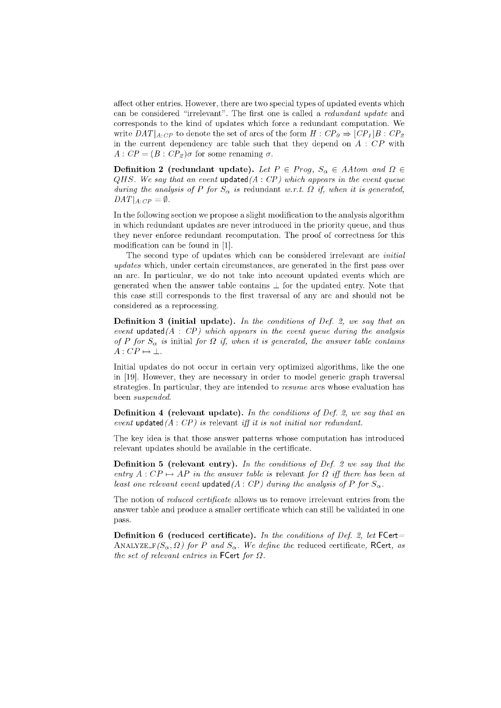affect other entries. However, there are two special types of updated events which can be considered "irrelevant". The ñrst one is called a *redundant update* and corresponds to the kind of updates which forcé a redundant computation. We write  $DATA_{A:CP}$  to denote the set of arcs of the form  $H:CP_0 \Rightarrow [CP_1|B:CP_2]$ in the current dependency are table such that they depend on  $A : CP$  with  $A: CP = (B: CP<sub>2</sub>)\sigma$  for some renaming  $\sigma$ .

**Definition 2** (redundant update). Let  $P \in Prog$ ,  $S_\alpha \in AAtom$  and  $\Omega \in$  $QHS$ . We say that an event **updated**  $(A : CP)$  which appears in the event queue *during the analysis of P for*  $S_\alpha$  *is* redundant *w.r.t.*  $\Omega$  *if, when it is generated,*  $DATA$ <sup>1</sup> $_{A:CP}$  =  $\emptyset$ *.* 

**In** the following section we propose a slight modiñeation to the analysis algorithm in which redundant updates are never introduced in the priority queue, and thus they never enforce redundant recomputation. The proof of correetness for this modiñeation can be found in [1].

The second type of updates which can be considered irrelevant are *initial updates* which, under certain circumstances, are generated in the ñrst pass over an are. In particular, we do not take into account updated events which are generated when the answer table contains  $\perp$  for the updated entry. Note that this case still corresponds to the ñrst traversal of any are and should not be considered as a reprocessing.

**Definition 3 (initial update).** *In the conditions of Def. 2, we say that an event*  $updated(A : CP)$  which appears in the event queue during the analysis *of P for*  $S_\alpha$  *is* initial for  $\Omega$  *if, when it is generated, the answer table contains*  $A:CP\mapsto \perp$ .

Initial updates do not oceur in certain very optimized algorithms, like the one in [19]. However, they are necessary in order to model generic graph traversal strategies. In particular, they are intended to *resume* ares whose evaluation has been *suspended,.* 

**Definition 4 (relevant update).** *In the conditions of Def. 2, we say that an event* updated  $(A : CP)$  is relevant iff it is not initial nor redundant.

The key idea is that those answer patterns whose computation has introduced relevant updates should be available in the certiñeate.

**Definition 5 (relevant entry).** *In the conditions of Def. 2 we say that the entry*  $A: CP \rightarrow AP$  *in the answer table is relevant for*  $\Omega$  *iff there has been at least one relevant event* updated  $(A: CP)$  during the analysis of P for  $S_{\alpha}$ .

The notion of *reduced certifícate* allows us to remove irrelevant entries from the answer table and produce a smaller certiñeate which can still be validated in one pass.

**Definition 6 (reduced certifícate).** *In the conditions of Def 2, let* **FCert** = ANALYZE<sub>-F</sub> $(S_\alpha, \Omega)$  for P and  $S_\alpha$ . We define the reduced certificate, RCert, as *the set of relevant entries in*  $\mathsf{FCert}$  *for*  $\Omega$ *.*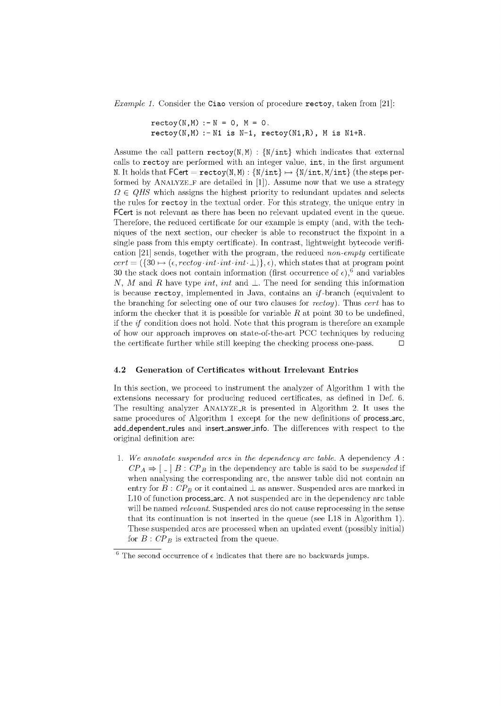*Example 1.* Consider the Ciao version of procedure rectoy, taken from [21]:

 $rectoy(N,M) := N = 0, M = 0.$  $rectoy(N,M)$  :- N1 is N-1,  $rectoy(N1,R)$ , M is N1+R.

Assume the call pattern  $\texttt{rectoy}(N,M)$  :  $\{N/\texttt{int}\}\$  which indicates that external calls to **recto** *y* are performed with an integer value, int, in the first argument N. It holds that  $\mathsf{FCert} = \mathbf{rectov}(N, M) : \{N/\mathbf{int}\} \mapsto \{N/\mathbf{int}, M/\mathbf{int}\}$  (the steps performed by ANALYZE\_F are detailed in [1]). Assume now that we use a strategy  $\Omega \in \text{QHS}$  which assigns the highest priority to redundant updates and selects the rules for **recto** in the textual order. For this strategy, the unique entry in **FCert** is not relevant as there has been no relevant updated event in the queue. Therefore, the reduced certiñcate for our example is empty (and, with the techniques of the next section, our checker is able to reconstruct the ñxpoint in a single pass from this empty certiñcate). In contrast, lightweight bytecode veriñcation [21] sends, together with the program, the reduced *non-empty* certiñcate  $cert = (\{30 \mapsto (\epsilon, rectoy\cdot int\cdot int\cdot \bot)\}, \epsilon)$ , which states that at program point 30 the stack does not contain information (first occurrence of  $\epsilon$ ),  $\epsilon$  and variables *N, M* and *R* have type *int, int* and  $\perp$ . The need for sending this information is because **rectov**, implemented in Java, contains an *if*-branch (equivalent to the branching for selecting one of our two clauses for *rectoy).* Thus *cert* has to inform the checker that it is possible for variable  $R$  at point 30 to be undefined, if the *if* condition does not hold. Note that this program is therefore an example of how our approach improves on state-of-the-art PCC techniques by reducing the certificate further while still keeping the checking process one-pass.  $\Box$ 

#### **4.2 Generation of Certificates without Irrelevant Entrie s**

**In** this section, we proceed to instrument the analyzer of Algorithm 1 with the extensions necessary for producing reduced certiñcates, as deñned in Def. 6. The resulting analyzer ANALYZE\_R is presented in Algorithm 2. It uses the same procedures of Algorithm 1 except for the new deñnitions of **process\_arc, add\_dependent\_rules** and **¡nsert\_answer\_¡nfo.** The differences with respect to the original deñnition are:

1. *We annotate suspended ares in the dependeney are table.* A dependeney *A :*   $CP_A \Rightarrow [-] B : CP_B$  in the dependency arc table is said to be *suspended* if when analysing the corresponding are, the answer table did not contain an entry for  $B : CP_B$  or it contained  $\perp$  as answer. Suspended arcs are marked in LIO of function **process\_arc.** A not suspended are in the dependeney are table will be named *relevant.* Suspended ares do not cause reprocessing in the sense that its continuation is not inserted in the queue (see L18 in Algorithm 1). These suspended ares are processed when an updated event (possibly initial) for  $B: CP_B$  is extracted from the queue.

 $6$  The second occurrence of  $\epsilon$  indicates that there are no backwards jumps.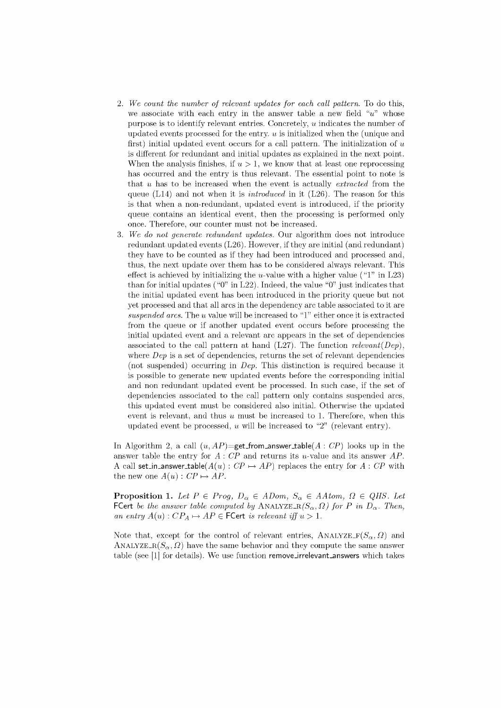- 2. *We count the number of relevant updates for each cali pattern.* To do this, we associate with each entry in the answer table a new field " $u$ " whose purpose is to identify relevant entries. Concretely, *u* indicates the number of updated events processed for the entry. *u* is initialized when the (unique and ñrst) initial updated event occurs for a cali pattern. The initialization of *u*  is different for redundant and initial updates as explained in the next point. When the analysis finishes, if  $u > 1$ , we know that at least one reprocessing has occurred and the entry is thus relevant. The essential point to note is that *u* has to be increased when the event is actually *extracted* from the queue (L14) and not when it is *introduced* in it (L26). The reason for this is that when a non-redundant, updated event is introduced, if the priority queue contains an identical event, then the processing is performed only once. Therefore, our counter must not be increased.
- 3. We do not generate redundant updates. Our algorithm does not introduce redundant updated events (L26). However, if they are initial (and redundant) they have to be counted as if they had been introduced and processed and, thus, the next update over them has to be considered always relevant. This effect is achieved by initializing the *u-*valué with a higher valué ("1" in L23) than for initial updates ("0" in L22). Indeed, the value "0" just indicates that the initial updated event has been introduced in the priority queue but not yet processed and that all arcs in the dependency arc table associated to it are *suspended arcs*. The *u* value will be increased to "1" either once it is extracted from the queue or if another updated event occurs before processing the initial updated event and a relevant are appears in the set of dependencies associated to the call pattern at hand  $(L27)$ . The function *relevant*  $(Dep)$ , where *Dep* is a set of dependencies, returns the set of relevant dependencies (not suspended) oceurring in *Dep.* This distinction is required because it is possible to generate new updated events before the corresponding initial and non redundant updated event be processed. In such case, if the set of dependencies associated to the cali pattern only contains suspended ares, this updated event must be considered also initial. Otherwise the updated event is relevant, and thus *u* must be increased to 1. Therefore, when this updated event be processed, *u* will be increased to "2" (relevant entry).

In Algorithm 2, a call  $(u, AP) =$ get\_from\_answer\_table( $A : CP$ ) looks up in the answer table the entry for *A : CP* and returns its *u-*valué and its answer *AP.*  A call set\_in\_answer\_table( $A(u)$ :  $CP \mapsto AP$ ) replaces the entry for  $A : CP$  with the new one  $A(u) : CP \mapsto AP$ .

**Proposition 1.** Let  $P \in Prog$ ,  $D_{\alpha} \in ADom$ ,  $S_{\alpha} \in AAtom$ ,  $\Omega \in QHS$ . Let **FCert** be the answer table computed by ANALYZE<sub>-R</sub> $(S_\alpha, \Omega)$  for P in D<sub> $\alpha$ </sub>. Then, *an entry*  $A(u)$ :  $CP_A \rightarrow AP \in$  **FCert** *is relevant iff u > 1*.

Note that, except for the control of relevant entries, ANALYZE\_F( $S_{\alpha}, \Omega$ ) and ANALYZE<sub>-R</sub> $(S_\alpha, \Omega)$  have the same behavior and they compute the same answer table (see  $[1]$  for details). We use function remove\_irrelevant\_answers which takes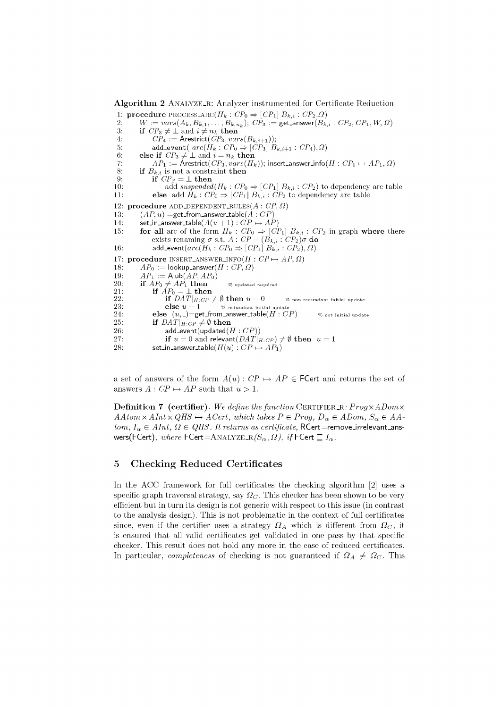**Algorithm 2** ANALYZE\_R: Analyzer instrumented for Certifícate Reduction

1: **procedure** PROCESS\_ARC $(H_k : CP_0 \Rightarrow [CP_1] B_{k,i} : CP_2, \Omega)$ <br>2:  $W := vars(A_k, B_{k,1}, \ldots, B_{k,n}) : CP_2 := \text{get answer}(B_k)$ 2:  $W := vars(A_k, B_{k,1}, \ldots, B_{k,n_k}); CP_3 := get\_answer(B_{k,i}: CP_2, CP_1, W, \Omega)$ <br>3: if  $CP_3 \neq \bot$  and  $i \neq n_k$  then 3: **if**  $CP_3 \neq \bot$  and  $i \neq n_k$  then<br>4:  $CP_4 :=$  Arestrict( $CP_3$ , var 4:  $\overrightarrow{CP_4} := \text{Arestrict}(\overrightarrow{CP_3}, vars(B_{k,i+1}));$ <br>5:  $\text{add\_event}(arc(H_k : CP_0 \Rightarrow [CP_3])B)$ 5: add\_event( $arc(\hat{H}_k : CP_0 \Rightarrow \vec{[CP_3]}' \vec{B}_{k,i+1} : CP_4), Q$ )<br>6: else if  $CP_3 \neq \perp$  and  $i = n_k$  then 6: else if  $CP_3 \neq \bot$  and  $i = n_k$  then<br>7:  $AP_1 := \text{Arestrict}(CP_3, vars(H_k))$ 7:  $AP_1 := \text{Arestrict}(CP_3, vars(H_k));$  insert\_answer\_info $(H : CP_0 \rightarrow AP_1, \Omega)$ <br>8: **if**  $B_{k,i}$  is not a constraint **then** 8: **if**  $B_{k,i}$  is not a constraint then<br>9: **if**  $CP_3 = \perp$  then 9: **if**  $CP_s = \perp$  then<br>10: **add** suspended add suspended( $H_k$ :  $CP_0 \Rightarrow [CP_1] B_{k,i}$ :  $CP_2$ ) to dependency arc table 11: **else** add  $H_k$ :  $CP_0 \Rightarrow [CP_1] B_{k,i}$ :  $CP_2$  to dependency arc table 12: **procedure** ADD\_DEPENDENT\_RULES(A : *CP, Q)*  13:  $(AP, u) = get\_from\_answer\_table(A : CP)$ <br>14: set\_in\_answer\_table( $A(u + 1) : CP \mapsto AP$ 14: set\_in\_answer\_table( $A(u + 1)$ :  $CP \mapsto AP$ )<br>15: **for all** arc of the form  $H_k$ :  $CP_0 \Rightarrow [C_k]$ 15: **for all** arc of the form  $H_k$  :  $CP_0 \Rightarrow [CP_1] B_{k,i}$  :  $CP_2$  in graph where there exists renaming  $\sigma$  s.t.  $\ddot{A}$  :  $CP = (\dot{B}_{k,i} : CP_2)\sigma$  do 16: add\_event $(arc(H_k : CP_0 \Rightarrow [CP_1] B_{k,i} : CP_2), \Omega)$ 17: **procedure** INSERT\_ANSWER\_INFO $(H : CP \mapsto AP, Q)$ 18:  $AP_0 := \text{lookup\_answer}(H : CP, \Omega)$ 19:  $AP_1 := \text{Alub}(AP, AP_0)$ <br>20: **if**  $AP_0 \neq AP_1$  then 20: **if**  $AP_0 \neq AP_1$  then  $\%$  updated required 21: if  $AP_0 = \perp$  then 22: **if**  $\overline{DAT}|_{H;CP} \neq \emptyset$  **then**  $u = 0$  % non redundant initial update<br>
23: **else**  $u = 1$  % redundant initial update 23: **else**  $u = 1$  % redundant initial update<br>  $24$ : **else**  $(u, )$ =get\_from\_answer\_table( $H : C$ 24: **else**  $(u, )$  = get\_from\_answer\_table( $H : CP$ ) % not initial update<br>25: **if**  $DATAT|_{H \cdot CP} \neq \emptyset$  **then** 25: **if**  $DATA|_{H;CP} \neq \emptyset$  then<br>26: **add\_event**(updated(*l*) 26: add\_event(updated( $H : CP$ ))<br>27: **if**  $u = 0$  and relevant( $DATAT|_t$ 27: **if**  $u = 0$  and relevant $(DAT|_{H:CP}) \neq \emptyset$  then  $u = 1$ <br>28: **set\_in\_answer\_table** $(H(u):CP \mapsto AP_1)$ set\_in\_answer\_table $(H(u) : CP \mapsto AP_1)$ 

a set of answers of the form  $A(u)$ :  $CP \rightarrow AP \in$  **FCert** and returns the set of answers  $A: CP \mapsto AP$  such that  $u > 1$ .

**Definition 7 (certifier).** *We define the function CERT1F1ER\_R: ProgxADomx*   $AAtom \times AInt \times QHS \mapsto ACert$ , which takes  $P \in Prog$ ,  $D_{\alpha} \in ADom$ ,  $S_{\alpha} \in AA$  $tom, I_{\alpha} \in AInt, \Omega \in QHS$ . It returns as certificate, **RCert=remove\_irrelevant\_ans-** $\mathsf{wers}(\mathsf{FCert}),\ \mathit{where}\ \mathsf{FCert}\!=\!\mathrm{ANALYZE\_R}(S_\alpha,\Omega),\ \mathit{if}\ \mathsf{FCert}\sqsubseteq I_\alpha.$ 

# 5 Checking Reduced Certiñcates

In the ACC framework for full certiñcates the checking algorithm [2] uses a specific graph traversal strategy, say  $\Omega_{\mathcal{C}}$ . This checker has been shown to be very efficient but in turn its design is not generic with respect to this issue (in contrast to the analysis design). This is not problematic in the context of full certiñcates since, even if the certifier uses a strategy  $\Omega_A$  which is different from  $\Omega_C$ , it is ensured that all valid certificates get validated in one pass by that specific checker. This result does not hold any more in the case of reduced certiñcates. In particular, *completeness* of checking is not guaranteed if  $\Omega_A \neq \Omega_C$ . This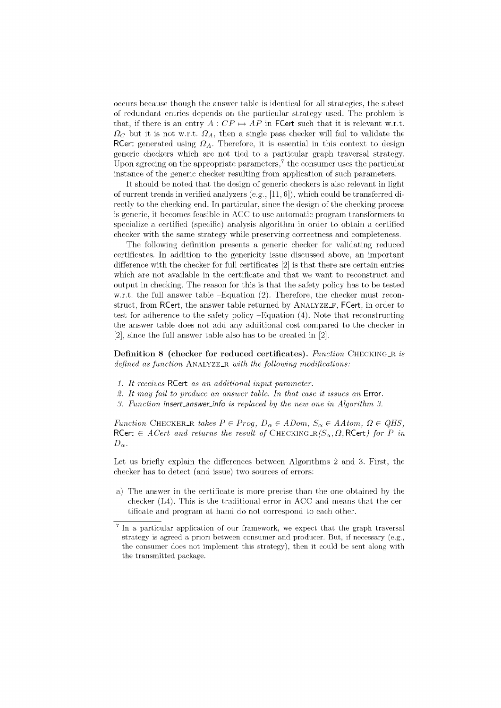occurs because though the answer table is identical for all strategies, the subset of redundant entries depends on the particular strategy used. The problem is that, if there is an entry  $A:CP \mapsto AP$  in FCert such that it is relevant w.r.t.  $f_{C}$  but it is not w.r.t.  $\Omega_A$ , then a single pass checker will fail to validate the **RCert** generated using  $\Omega_A$ . Therefore, it is essential in this context to design generic checkers which are not tied to a particular graph traversal strategy. Upon agreeing on the appropriate parameters,<sup> $7$ </sup> the consumer uses the particular instance of the generic checker resulting from application of such parameters.

It should be noted that the design of generic checkers is also relevant in light of current trends in veriñed analyzers (e.g., [11, 6]), which could be transferred directly to the checking end. In particular, since the design of the checking process is generic, it becomes feasible in ACC to use automatic program transformers to specialize a certiñed (speciñe) analysis algorithm in order to obtain a certiñed checker with the same strategy while preserving correetness and completeness.

The following deñnition presents a generic checker for validating reduced certiñeates. In addition to the genericity issue discussed above, an important difference with the checker for full certificates  $[2]$  is that there are certain entries which are not available in the certificate and that we want to reconstruct and output in checking. The reason for this is that the safety policy has to be tested w.r.t. the full answer table  $-Equation (2)$ . Therefore, the checker must reconstruct, from **RCert,** the answer table returned by ANALYZE\_F, **FCert,** in order to test for adherence to the safety policy  $-E$ quation  $(4)$ . Note that reconstructing the answer table does not add any additional cost compared to the checker in [2], since the full answer table also has to be created in [2].

**Definition 8 (checker for reduced certificates).** *Function* CHECKING\_R *is defined as function* ANALYZE\_R *with the following modifications:* 

- *1. It receives* **RCert** *as an additional input parameter.*
- *2. It may fail to produce an answer table. In that case it issues an* **Error.**
- *3. Function insert\_answerJnfo is replaced by the new one in Algorithm 3.*

*Function* CHECKER\_R takes  $P \in Prog$ ,  $D_{\alpha} \in ADom$ ,  $S_{\alpha} \in AAtom$ ,  $\Omega \in QHS$ , **RCert**  $\in$  *ACert and returns the result of* CHECKING  $R(S_\alpha, \Omega, \text{RCert})$  for P in  $D_{\alpha}$ .

Let us briefly explain the differences between Algorithms 2 and 3. First, the checker has to detect (and issue) two sources of errors:

a) The answer in the certiñeate is more precise than the one obtained by the checker  $(L4)$ . This is the traditional error in ACC and means that the certifícate and program at hand do not correspond to each other.

<sup>&</sup>lt;sup>7</sup> In a particular application of our framework, we expect that the graph traversal strategy is agreed a priori between consumer and producer. But, if necessary (e.g., the consumer does not implement this strategy), then it could be sent along with the transmitted package.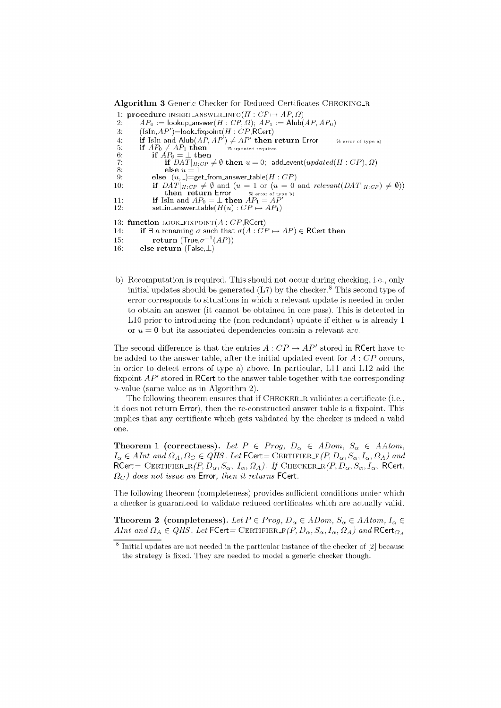**Algorithm 3** Generic Checker for Reduced Certiñcates CHECKING\_R

1: **procedure** INSERT\_ANSWER\_INFO $(H : CP \rightarrow AP, Q)$ 2:  $AP_0 := \text{lookup\_answer}(H : CP, \Omega); AP_1 := \text{Alub}(AP, AP_0)$ 3:  $(Isln, AP') = \text{look\_fixpoint}(H : CP, RCert)$ 4: **if** Isln and  $\text{Alub}(AP, AP') \neq AP'$  **then return Error**  $\%$  error of type a) 5: **if**  $AP_0 \neq AP_1$  then  $\%$  updated required  $\ddot{f}$   $AP_0 = \perp$  then **7:** if  $AP_0 \neq AP_1$  then<br> **7:** if  $AP_0 = \perp$  then<br> **7:** if  $DAT|_{H:CP} \neq \emptyset$  then  $u = 0$ ; add\_event(updated(H : CP),  $\Omega$ )<br>
8: else  $u = 1$ 8: **else**  $u = 1$ <br>9: **else**  $(u, ) = g$ **9Bise**  $(u, \square) =$ get\_from\_answer\_table $(H : CP)$ 10: **if**  $DATA\|H:CP \neq \emptyset$  and  $(u = 1 \text{ or } (u = 0 \text{ and } relevant(DAT|_{H:CP}) \neq 0$ **then return Error** % error of type b) 11: **if** IsIn and  $AP_0 = \perp$  then  $AP_1 = AP'$ <br> **12:** set\_in\_answer\_table( $H(u): CP \mapsto AP_1$ ) **13: function** LOOK\_FIXPOINT(A : *CP,*RCert) **14: 15: if**  $\exists$  a renaming  $\sigma$  such that  $\sigma(A:C P \mapsto AP) \in \mathsf{RC}$ ert **then**  $\mathbf{return} \ (\mathsf{True}, \sigma^{-1}(AP))$ 

- **16: else return** (False,\_L)
- b) Recomputation is required. This should not occur during checking, i.e., only initial updates should be generated (L7) by the checker.<sup>8</sup> This second type of error corresponds to situations in which a relevant update is needed in order to obtain an answer (it cannot be obtained in one pass). This is detected in LIO prior to introducing the (non redundant) update if either *u* is already 1 or  $u = 0$  but its associated dependencies contain a relevant arc.

The second difference is that the entries  $A:CP \mapsto AP'$  stored in RCert have to be added to the answer table, after the initial updated event for *A : CP* oceurs, in order to detect errors of type a) above. In particular, L11 and L12 add the ñxpoint *AP'* stored in **RCert** to the answer table together with the corresponding *u-*valué (same valué as in Algorithm 2).

The following theorem ensures that if CHECKER\_R validates a certificate (i.e., it does not return **Error),** then the re-constructed answer table is a ñxpoint. This implies that any certificate which gets validated by the checker is indeed a valid one.

**Theorem 1 (correctness).** Let  $P \in Prog$ ,  $D_{\alpha} \in ADom$ ,  $S_{\alpha} \in AAtom$ ,  $I_{\alpha} \in AInt$  and  $\Omega_A, \Omega_C \in QHS$ . Let  $\textsf{FCert} = \text{CERTIFIER.F}(P, D_{\alpha}, S_{\alpha}, I_{\alpha}, \Omega_A)$  and  $R$ Cert = CERTIFIER\_R(P,  $D_{\alpha}$ ,  $S_{\alpha}$ ,  $I_{\alpha}$ ,  $\Omega_A$ ). If CHECKER\_R(P,  $D_{\alpha}$ ,  $S_{\alpha}$ ,  $I_{\alpha}$ , RCert,  $\Omega$ <sub>*C</sub>*) does not issue an **Error**, then it returns **FCert**.</sub>

The following theorem (completeness) provides sufficient conditions under which a checker is guaranteed to validate reduced certiñcates which are actually valid.

**Theorem 2 (completeness).** Let  $P \in Prog$ ,  $D_{\alpha} \in ADom$ ,  $S_{\alpha} \in AAtom$ ,  $I_{\alpha} \in$ *AInt and*  $\Omega_A \in QHS$ *. Let*  $\textsf{FCert} = \text{CERTIFIER\_F}(P, D_\alpha, S_\alpha, I_\alpha, \Omega_A)$  and  $\textsf{RCert}_{\Omega_A}$ 

<sup>&</sup>lt;sup>8</sup> Initial updates are not needed in the particular instance of the checker of [2] because the strategy is fixed. They are needed to model a generic checker though.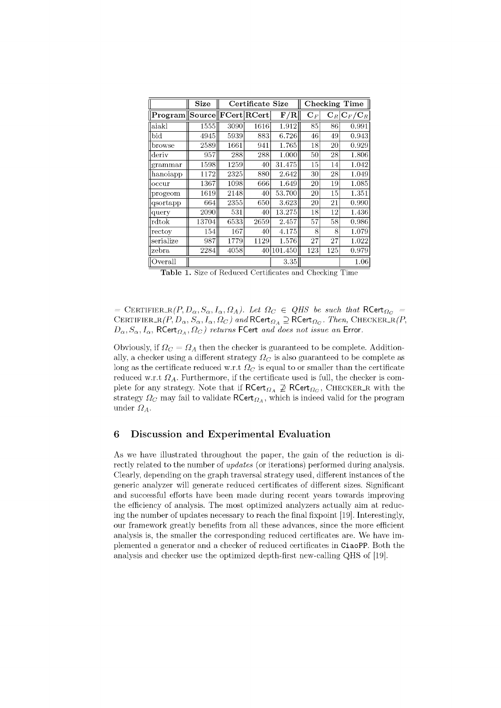|                 | <b>Size</b>         |      | Certificate Size | Checking Time |                      |     |                                                     |
|-----------------|---------------------|------|------------------|---------------|----------------------|-----|-----------------------------------------------------|
| Program         | Source  FCert RCert |      |                  | ${\bf F/R}$   | $\mathbf{\bar{C}}_F$ |     | $\overline{\mathbf{C}}_R \mathbf{C}_F/\mathbf{C}_R$ |
| aiakl           | 1555                | 3090 | 1616             | 1.912         | 85                   | 86  | 0.991                                               |
| bid             | 4945                | 5939 | 883              | 6.726         | 46                   | 49  | 0.943                                               |
| prowse          | 2589                | 1661 | 941              | 1.765         | 18                   | 20  | 0.929                                               |
| $_{\rm{deriv}}$ | 957                 | 288  | 288              | 1.000         | 50                   | 28  | 1.806                                               |
| grammar         | 1598                | 1259 | 40               | 31.475        | 15                   | 14  | 1.042                                               |
| hanoiapp        | 1172                | 2325 | 880              | 2.642         | 30                   | 28  | 1.049                                               |
| occur           | 1367                | 1098 | 666              | 1.649         | 20                   | 19  | 1.085                                               |
| progeom         | 1619                | 2148 | 40               | 53.700        | 20                   | 15  | 1.351                                               |
| qsortapp        | 664                 | 2355 | 650              | 3.623         | 20                   | 21  | 0.990                                               |
| query           | 2090                | 531  | 40               | 13.275        | 18                   | 12  | 1.436                                               |
| rdtok           | 13704               | 6533 | 2659             | 2.457         | 57                   | 58  | 0.986                                               |
| rectoy          | 154                 | 167  | 40               | 4.175         | 8                    | 8   | 1.079                                               |
| serialize       | 987                 | 1779 | 1129             | 1.576         | 27                   | 27  | 1.022                                               |
| zebra           | 2284                | 4058 | 40               | 101.450       | 123                  | 125 | 0.979                                               |
| Overall         |                     |      |                  | 3.35          |                      |     | 1.06                                                |

Table 1. Size of Reduced Certiñcates and Checking Time

 $=$  CERTIFIER\_R(P,  $D_{\alpha}$ ,  $S_{\alpha}$ ,  $I_{\alpha}$ ,  $\Omega_A$ ). Let  $\Omega_C$   $\in$  QHS be such that  $\mathsf{RCert}_{\Omega_C}$  =  $C$ ERTIFIER\_R $(P, D_{\alpha}, S_{\alpha}, I_{\alpha}, \Omega_C)$  and  $RC$ ert $_{\Omega_A} \supseteq RC$ ert $_{\Omega_C}$ . Then, CHECKER\_R $(P, D_{\alpha}, S_{\alpha}, I_{\alpha}, \Omega_C)$  $D_{\alpha}$ ,  $S_{\alpha}$ ,  $I_{\alpha}$ , RCert $_{\Omega}$ <sub>A</sub>,  $\Omega_{C}$ ) returns FCert and does not issue an Error.

Obviously, if  $\Omega_C = \Omega_A$  then the checker is guaranteed to be complete. Additionally, a checker using a different strategy  $\Omega_C$  is also guaranteed to be complete as long as the certificate reduced w.r.t  $\Omega_C$  is equal to or smaller than the certificate reduced w.r.t  $\Omega_A$ . Furthermore, if the certificate used is full, the checker is complete for any strategy. Note that if  $RCert_{\Omega_A} \not\supseteq RCert_{\Omega_C}$ , CHECKER\_R with the strategy  $\Omega_c$  may fail to validate  $\mathsf{RCert}_{\Omega_A}$ , which is indeed valid for the program under  $\Omega_A$ .

## 6 Discussion and Experimental Evaluation

As we have illustrated throughout the paper, the gain of the reduction is directly related to the number of *updates* (or iterations) performed during analysis. Clearly, depending on the graph traversal strategy used, different instances of the generic analyzer will generate reduced certificates of different sizes. Significant and successful efforts have been made during recent years towards improving the efficieney of analysis. The most optimized analyzers actually aim at reducing the number of updates necessary to reach the ñnal ñxpoint [19]. Interestingly, our framework greatly benefits from all these advances, since the more efficient analysis is, the smaller the corresponding reduced certiñcates are. We have implemented a generator and a checker of reduced certiñcates in CiaoPP. Both the analysis and checker use the optimized depth-ñrst new-calling QHS of [19].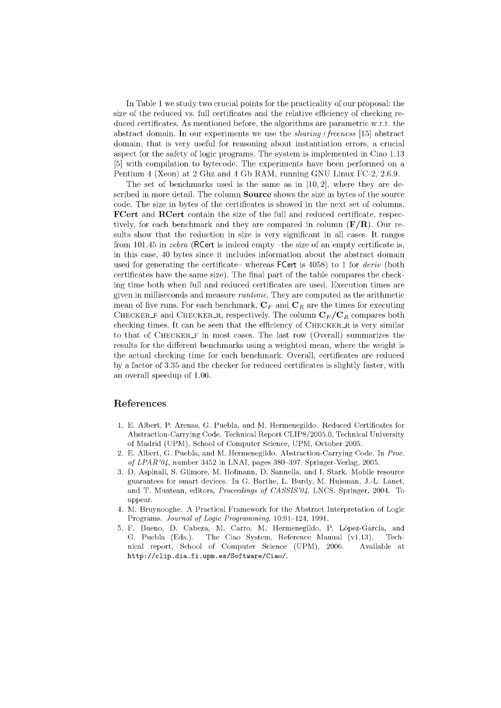In Table 1 we study two crucial points for the practicality of our proposal: the size of the reduced vs. full certiñcates and the relative efficiency of checking reduced certificates. As mentioned before, the algorithms are parametric w.r.t. the abstract domain. In our experiments we use the *sharing+freeness* [15] abstract domain, that is very useful for reasoning about instantiation errors, a crucial aspect for the safety of logic programs. The system is implemented in Ciao 1.13 [5] with compilation to bytecode. The experiments have been performed on a Pentium 4 (Xeon) at 2 Ghz and 4 Gb RAM, running GNU Linux FC-2, 2.6.9.

The set of benchmarks used is the same as in [10,2], where they are described in more detail. The column **Source** shows the size in bytes of the source code. The size in bytes of the certiñcates is showed in the next set of columns. FCert and RCert contain the size of the full and reduced certificate, respectively, for each benchmark and they are compared in column  $(F/R)$ . Our results show that the reduction in size is very significant in all cases. It ranges from 101.45 in *zebra* (RCert is indeed empty -the size of an empty certificate is, in this case, 40 bytes since it includes information about the abstract domain used for generating the certiñcate- whereas FCert is 4058) to 1 for *deriv* (both certiñcates have the same size). The ñnal part of the table compares the checking time both when full and reduced certiñcates are used. Execution times are given in milliseconds and measure *runtime.* They are computed as the arithmetic mean of five runs. For each benchmark,  $C_F$  and  $C_R$  are the times for executing CHECKER\_F and CHECKER\_R, respectively. The column  $C_F/C_R$  compares both checking times. It can be seen that the efficiency of CHECKER\_R is very similar to that of CHECKER\_F in most cases. The last row (Overall) summarizes the results for the different benchmarks using a weighted mean, where the weight is the actual checking time for each benchmark. Overall, certiñcates are reduced by a factor of 3.35 and the checker for reduced certiñcates is slightly faster, with an overall speedup of 1.06.

#### References

- 1. E. Albert, P. Arenas, G. Puebla, and M. Hermenegildo. Reduced Certiñcates for Abstraction-Carrying Code. Technical Report CLIP8/2005.0, Technical University of Madrid (UPM), School of Computer Science, UPM, October 2005.
- 2. E. Albert, G. Puebla, and M. Hermenegildo. Abstraction-Carrying Code. In *Proc. of LPAR'04,* number 3452 in LNAI, pages 380-397. Springer-Verlag, 2005.
- 3. D. Aspinall, S. Gilmore, M. Hofmann, D. Sannella, and I. Stark. Mobile resource guarantees for smart devices. In G. Barthe, L. Burdy, M. Huisman, J.-L. Lanet, and T. Muntean, editors, *Proceedings of CASSIS'04,* LNCS. Springer, 2004. To appear.
- 4. M. Bruynooghe. A Practical Framework for the Abstract Interpretation of Logic Programs. *Journal of Logic Programming,* 10:91-124, 1991.
- 5. F. Bueno, D. Cabeza, M. Carro, M. Hermenegildo, P. López-García, and G. Puebla (Eds.). The Ciao System. Reference Manual (vi.13). Technical report, School of Computer Science (UPM), 2006. Available at [http://clip.dia.fi.upm.es/Software/Ciao/.](http://clip.dia.fi.upm.es/Software/Ciao/)